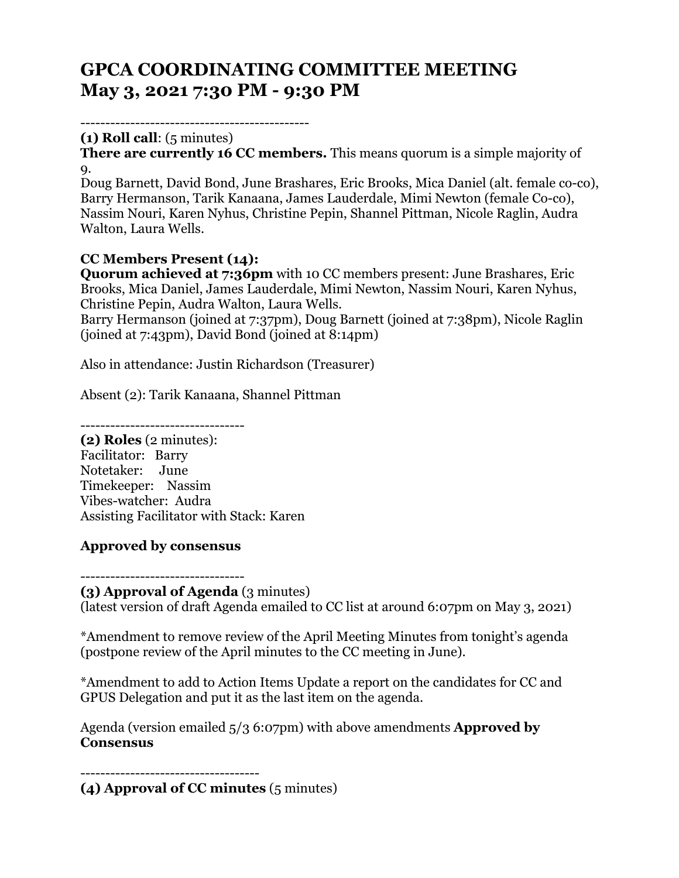# **GPCA COORDINATING COMMITTEE MEETING May 3, 2021 7:30 PM - 9:30 PM**

----------------------------------------------

**(1) Roll call**: (5 minutes)

**There are currently 16 CC members.** This means quorum is a simple majority of 9.

Doug Barnett, David Bond, June Brashares, Eric Brooks, Mica Daniel (alt. female co-co), Barry Hermanson, Tarik Kanaana, James Lauderdale, Mimi Newton (female Co-co), Nassim Nouri, Karen Nyhus, Christine Pepin, Shannel Pittman, Nicole Raglin, Audra Walton, Laura Wells.

#### **CC Members Present (14):**

**Quorum achieved at 7:36pm** with 10 CC members present: June Brashares, Eric Brooks, Mica Daniel, James Lauderdale, Mimi Newton, Nassim Nouri, Karen Nyhus, Christine Pepin, Audra Walton, Laura Wells.

Barry Hermanson (joined at 7:37pm), Doug Barnett (joined at 7:38pm), Nicole Raglin (joined at 7:43pm), David Bond (joined at 8:14pm)

Also in attendance: Justin Richardson (Treasurer)

Absent (2): Tarik Kanaana, Shannel Pittman

---------------------------------

**(2) Roles** (2 minutes): Facilitator: Barry Notetaker: June Timekeeper: Nassim Vibes-watcher: Audra Assisting Facilitator with Stack: Karen

#### **Approved by consensus**

--------------------------------- **(3) Approval of Agenda** (3 minutes)

(latest version of draft Agenda emailed to CC list at around 6:07pm on May 3, 2021)

\*Amendment to remove review of the April Meeting Minutes from tonight's agenda (postpone review of the April minutes to the CC meeting in June).

\*Amendment to add to Action Items Update a report on the candidates for CC and GPUS Delegation and put it as the last item on the agenda.

Agenda (version emailed 5/3 6:07pm) with above amendments **Approved by Consensus**

------------------------------------

**(4) Approval of CC minutes** (5 minutes)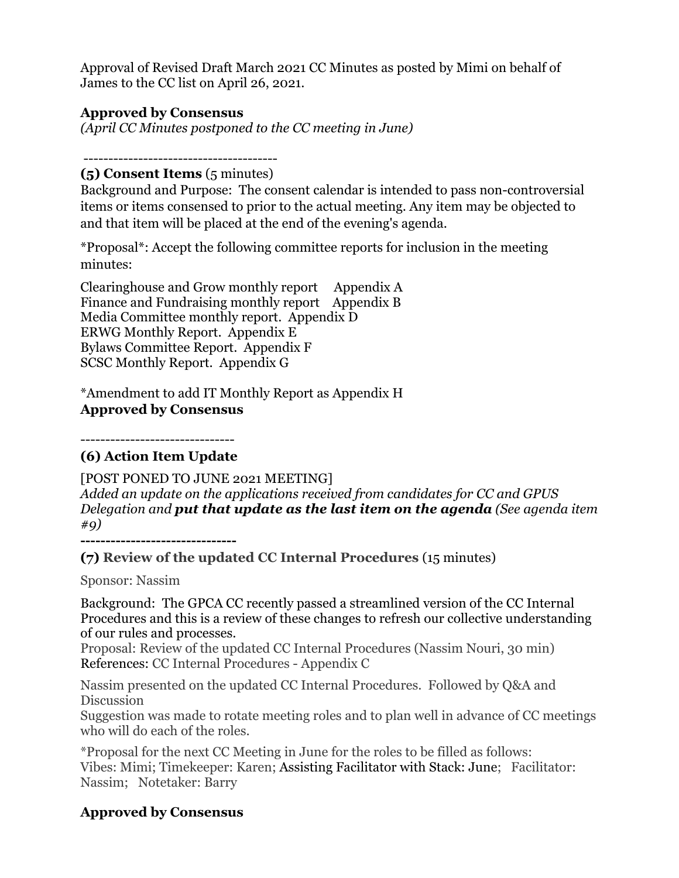Approval of Revised Draft March 2021 CC Minutes as posted by Mimi on behalf of James to the CC list on April 26, 2021.

#### **Approved by Consensus**

*(April CC Minutes postponed to the CC meeting in June)*

### ---------------------------------------

#### **(5) Consent Items** (5 minutes)

Background and Purpose: The consent calendar is intended to pass non-controversial items or items consensed to prior to the actual meeting. Any item may be objected to and that item will be placed at the end of the evening's agenda.

\*Proposal\*: Accept the following committee reports for inclusion in the meeting minutes:

Clearinghouse and Grow monthly report Appendix A Finance and Fundraising monthly report Appendix B Media Committee monthly report. Appendix D ERWG Monthly Report. Appendix E Bylaws Committee Report. Appendix F SCSC Monthly Report. Appendix G

\*Amendment to add IT Monthly Report as Appendix H **Approved by Consensus**

-------------------------------

### **(6) Action Item Update**

[POST PONED TO JUNE 2021 MEETING] *Added an update on the applications received from candidates for CC and GPUS Delegation and put that update as the last item on the agenda (See agenda item #9)*

**-------------------------------** 

**(7) Review of the updated CC Internal Procedures** (15 minutes)

Sponsor: Nassim

Background: The GPCA CC recently passed a streamlined version of the CC Internal Procedures and this is a review of these changes to refresh our collective understanding of our rules and processes.

Proposal: Review of the updated CC Internal Procedures (Nassim Nouri, 30 min) References: CC Internal Procedures - Appendix C

Nassim presented on the updated CC Internal Procedures. Followed by Q&A and Discussion

Suggestion was made to rotate meeting roles and to plan well in advance of CC meetings who will do each of the roles.

\*Proposal for the next CC Meeting in June for the roles to be filled as follows: Vibes: Mimi; Timekeeper: Karen; Assisting Facilitator with Stack: June; Facilitator: Nassim; Notetaker: Barry

## **Approved by Consensus**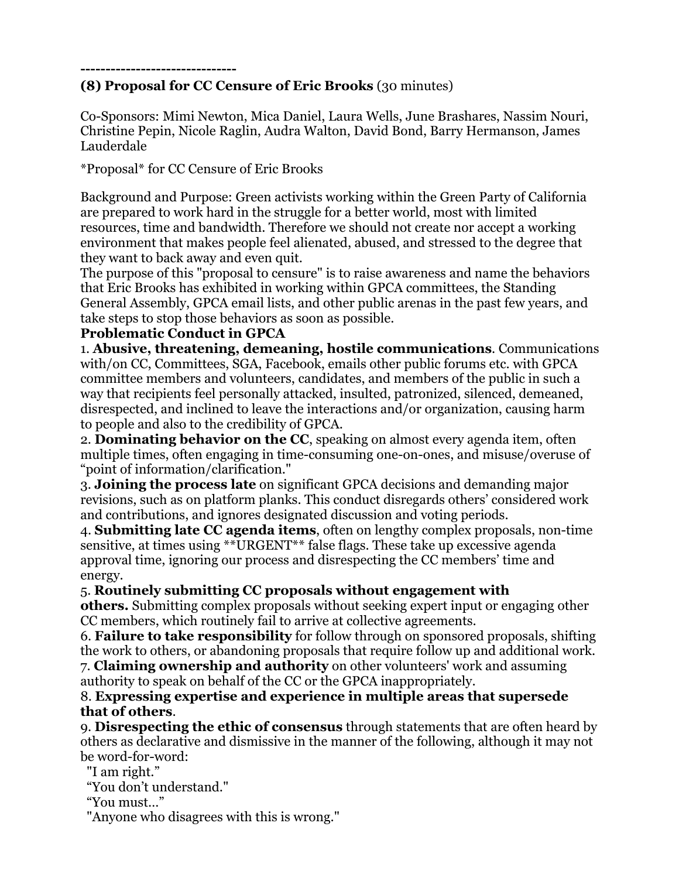#### **------------------------------- (8) Proposal for CC Censure of Eric Brooks** (30 minutes)

Co-Sponsors: Mimi Newton, Mica Daniel, Laura Wells, June Brashares, Nassim Nouri, Christine Pepin, Nicole Raglin, Audra Walton, David Bond, Barry Hermanson, James Lauderdale

\*Proposal\* for CC Censure of Eric Brooks

Background and Purpose: Green activists working within the Green Party of California are prepared to work hard in the struggle for a better world, most with limited resources, time and bandwidth. Therefore we should not create nor accept a working environment that makes people feel alienated, abused, and stressed to the degree that they want to back away and even quit.

The purpose of this "proposal to censure" is to raise awareness and name the behaviors that Eric Brooks has exhibited in working within GPCA committees, the Standing General Assembly, GPCA email lists, and other public arenas in the past few years, and take steps to stop those behaviors as soon as possible.

#### **Problematic Conduct in GPCA**

1. **Abusive, threatening, demeaning, hostile communications**. Communications with/on CC, Committees, SGA, Facebook, emails other public forums etc. with GPCA committee members and volunteers, candidates, and members of the public in such a way that recipients feel personally attacked, insulted, patronized, silenced, demeaned, disrespected, and inclined to leave the interactions and/or organization, causing harm to people and also to the credibility of GPCA.

2. **Dominating behavior on the CC**, speaking on almost every agenda item, often multiple times, often engaging in time-consuming one-on-ones, and misuse/overuse of "point of information/clarification."

3. **Joining the process late** on significant GPCA decisions and demanding major revisions, such as on platform planks. This conduct disregards others' considered work and contributions, and ignores designated discussion and voting periods.

4. **Submitting late CC agenda items**, often on lengthy complex proposals, non-time sensitive, at times using \*\*URGENT\*\* false flags. These take up excessive agenda approval time, ignoring our process and disrespecting the CC members' time and energy.

### 5. **Routinely submitting CC proposals without engagement with**

**others.** Submitting complex proposals without seeking expert input or engaging other CC members, which routinely fail to arrive at collective agreements.

6. **Failure to take responsibility** for follow through on sponsored proposals, shifting the work to others, or abandoning proposals that require follow up and additional work.

7. **Claiming ownership and authority** on other volunteers' work and assuming authority to speak on behalf of the CC or the GPCA inappropriately.

#### 8. **Expressing expertise and experience in multiple areas that supersede that of others**.

9. **Disrespecting the ethic of consensus** through statements that are often heard by others as declarative and dismissive in the manner of the following, although it may not be word-for-word:

"I am right."

"You don't understand."

"You must…"

"Anyone who disagrees with this is wrong."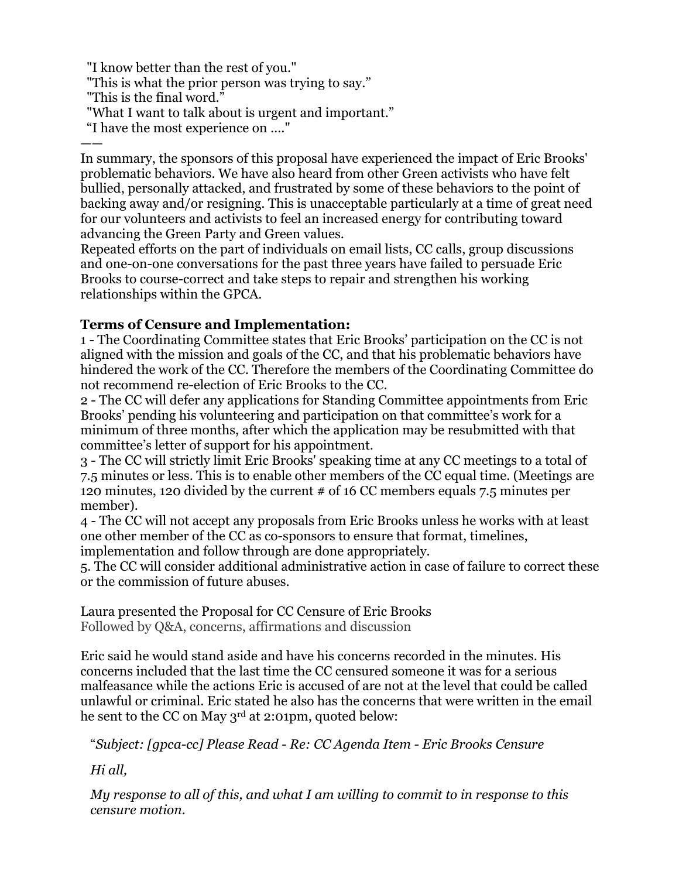"I know better than the rest of you."

"This is what the prior person was trying to say."

- "This is the final word."
- "What I want to talk about is urgent and important."
- "I have the most experience on …."

—— In summary, the sponsors of this proposal have experienced the impact of Eric Brooks' problematic behaviors. We have also heard from other Green activists who have felt bullied, personally attacked, and frustrated by some of these behaviors to the point of backing away and/or resigning. This is unacceptable particularly at a time of great need for our volunteers and activists to feel an increased energy for contributing toward advancing the Green Party and Green values.

Repeated efforts on the part of individuals on email lists, CC calls, group discussions and one-on-one conversations for the past three years have failed to persuade Eric Brooks to course-correct and take steps to repair and strengthen his working relationships within the GPCA.

### **Terms of Censure and Implementation:**

1 - The Coordinating Committee states that Eric Brooks' participation on the CC is not aligned with the mission and goals of the CC, and that his problematic behaviors have hindered the work of the CC. Therefore the members of the Coordinating Committee do not recommend re-election of Eric Brooks to the CC.

2 - The CC will defer any applications for Standing Committee appointments from Eric Brooks' pending his volunteering and participation on that committee's work for a minimum of three months, after which the application may be resubmitted with that committee's letter of support for his appointment.

3 - The CC will strictly limit Eric Brooks' speaking time at any CC meetings to a total of 7.5 minutes or less. This is to enable other members of the CC equal time. (Meetings are 120 minutes, 120 divided by the current # of 16 CC members equals 7.5 minutes per member).

4 - The CC will not accept any proposals from Eric Brooks unless he works with at least one other member of the CC as co-sponsors to ensure that format, timelines, implementation and follow through are done appropriately.

5. The CC will consider additional administrative action in case of failure to correct these or the commission of future abuses.

Laura presented the Proposal for CC Censure of Eric Brooks Followed by Q&A, concerns, affirmations and discussion

Eric said he would stand aside and have his concerns recorded in the minutes. His concerns included that the last time the CC censured someone it was for a serious malfeasance while the actions Eric is accused of are not at the level that could be called unlawful or criminal. Eric stated he also has the concerns that were written in the email he sent to the CC on May 3<sup>rd</sup> at 2:01pm, quoted below:

"*Subject: [gpca-cc] Please Read - Re: CC Agenda Item - Eric Brooks Censure*

*Hi all,*

*My response to all of this, and what I am willing to commit to in response to this censure motion.*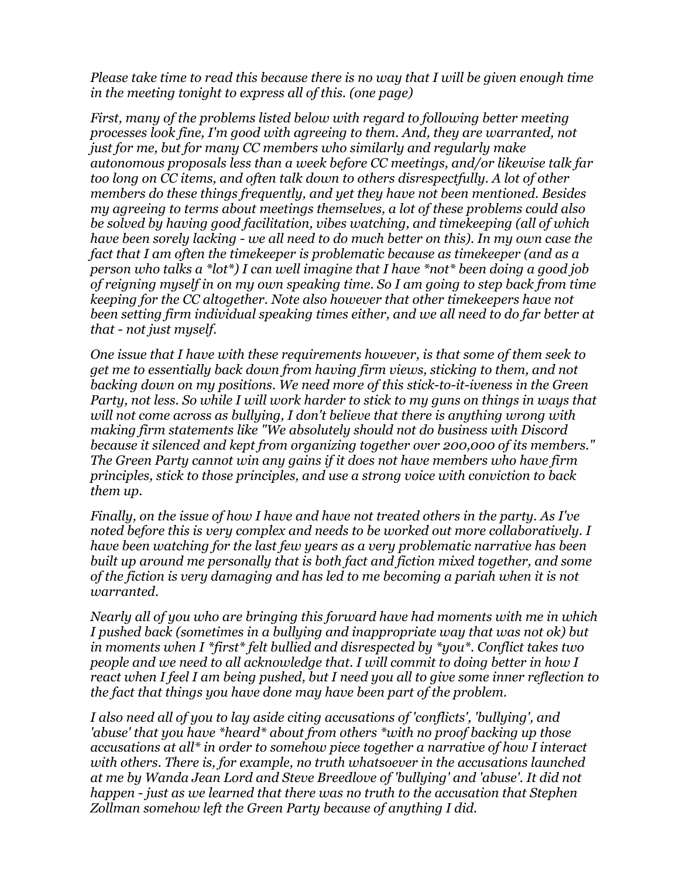*Please take time to read this because there is no way that I will be given enough time in the meeting tonight to express all of this. (one page)*

*First, many of the problems listed below with regard to following better meeting processes look fine, I'm good with agreeing to them. And, they are warranted, not just for me, but for many CC members who similarly and regularly make autonomous proposals less than a week before CC meetings, and/or likewise talk far too long on CC items, and often talk down to others disrespectfully. A lot of other members do these things frequently, and yet they have not been mentioned. Besides my agreeing to terms about meetings themselves, a lot of these problems could also be solved by having good facilitation, vibes watching, and timekeeping (all of which have been sorely lacking - we all need to do much better on this). In my own case the fact that I am often the timekeeper is problematic because as timekeeper (and as a person who talks a \*lot\*) I can well imagine that I have \*not\* been doing a good job of reigning myself in on my own speaking time. So I am going to step back from time keeping for the CC altogether. Note also however that other timekeepers have not been setting firm individual speaking times either, and we all need to do far better at that - not just myself.*

*One issue that I have with these requirements however, is that some of them seek to get me to essentially back down from having firm views, sticking to them, and not backing down on my positions. We need more of this stick-to-it-iveness in the Green Party, not less. So while I will work harder to stick to my guns on things in ways that will not come across as bullying, I don't believe that there is anything wrong with making firm statements like "We absolutely should not do business with Discord because it silenced and kept from organizing together over 200,000 of its members." The Green Party cannot win any gains if it does not have members who have firm principles, stick to those principles, and use a strong voice with conviction to back them up.*

*Finally, on the issue of how I have and have not treated others in the party. As I've noted before this is very complex and needs to be worked out more collaboratively. I have been watching for the last few years as a very problematic narrative has been built up around me personally that is both fact and fiction mixed together, and some of the fiction is very damaging and has led to me becoming a pariah when it is not warranted.*

*Nearly all of you who are bringing this forward have had moments with me in which I pushed back (sometimes in a bullying and inappropriate way that was not ok) but in moments when I \*first\* felt bullied and disrespected by \*you\*. Conflict takes two people and we need to all acknowledge that. I will commit to doing better in how I react when I feel I am being pushed, but I need you all to give some inner reflection to the fact that things you have done may have been part of the problem.*

*I also need all of you to lay aside citing accusations of 'conflicts', 'bullying', and 'abuse' that you have \*heard\* about from others \*with no proof backing up those accusations at all\* in order to somehow piece together a narrative of how I interact with others. There is, for example, no truth whatsoever in the accusations launched at me by Wanda Jean Lord and Steve Breedlove of 'bullying' and 'abuse'. It did not happen - just as we learned that there was no truth to the accusation that Stephen Zollman somehow left the Green Party because of anything I did.*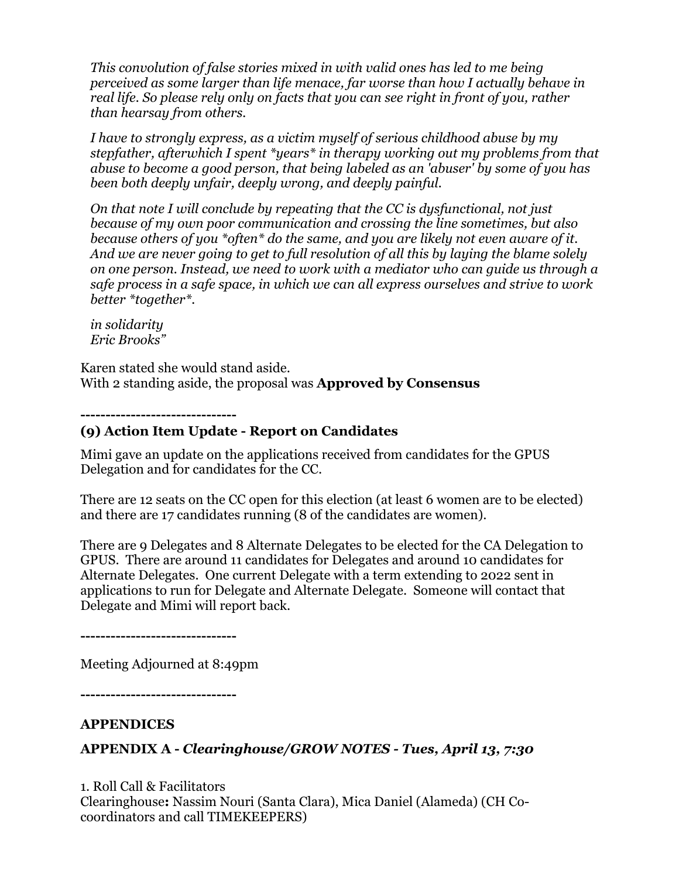*This convolution of false stories mixed in with valid ones has led to me being perceived as some larger than life menace, far worse than how I actually behave in real life. So please rely only on facts that you can see right in front of you, rather than hearsay from others.*

*I have to strongly express, as a victim myself of serious childhood abuse by my stepfather, afterwhich I spent \*years\* in therapy working out my problems from that abuse to become a good person, that being labeled as an 'abuser' by some of you has been both deeply unfair, deeply wrong, and deeply painful.*

*On that note I will conclude by repeating that the CC is dysfunctional, not just because of my own poor communication and crossing the line sometimes, but also because others of you \*often\* do the same, and you are likely not even aware of it. And we are never going to get to full resolution of all this by laying the blame solely on one person. Instead, we need to work with a mediator who can guide us through a safe process in a safe space, in which we can all express ourselves and strive to work better \*together\*.*

*in solidarity Eric Brooks"*

Karen stated she would stand aside. With 2 standing aside, the proposal was **Approved by Consensus**

**-------------------------------** 

#### **(9) Action Item Update - Report on Candidates**

Mimi gave an update on the applications received from candidates for the GPUS Delegation and for candidates for the CC.

There are 12 seats on the CC open for this election (at least 6 women are to be elected) and there are 17 candidates running (8 of the candidates are women).

There are 9 Delegates and 8 Alternate Delegates to be elected for the CA Delegation to GPUS. There are around 11 candidates for Delegates and around 10 candidates for Alternate Delegates. One current Delegate with a term extending to 2022 sent in applications to run for Delegate and Alternate Delegate. Someone will contact that Delegate and Mimi will report back.

**-------------------------------**

Meeting Adjourned at 8:49pm

**-------------------------------**

#### **APPENDICES**

### **APPENDIX A -** *Clearinghouse/GROW NOTES - Tues, April 13, 7:30*

1. Roll Call & Facilitators Clearinghouse**:** Nassim Nouri (Santa Clara), Mica Daniel (Alameda) (CH Cocoordinators and call TIMEKEEPERS)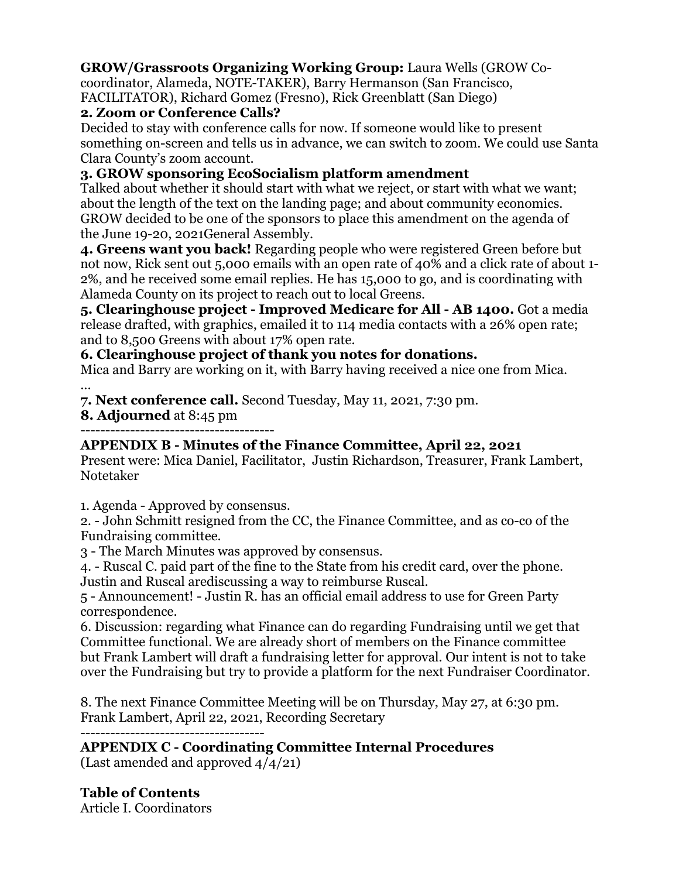#### **GROW/Grassroots Organizing Working Group:** Laura Wells (GROW Co-

coordinator, Alameda, NOTE-TAKER), Barry Hermanson (San Francisco, FACILITATOR), Richard Gomez (Fresno), Rick Greenblatt (San Diego)

#### **2. Zoom or Conference Calls?**

Decided to stay with conference calls for now. If someone would like to present something on-screen and tells us in advance, we can switch to zoom. We could use Santa Clara County's zoom account.

#### **3. GROW sponsoring EcoSocialism platform amendment**

Talked about whether it should start with what we reject, or start with what we want; about the length of the text on the landing page; and about community economics. GROW decided to be one of the sponsors to place this amendment on the agenda of the June 19-20, 2021General Assembly.

**4. Greens want you back!** Regarding people who were registered Green before but not now, Rick sent out 5,000 emails with an open rate of 40% and a click rate of about 1- 2%, and he received some email replies. He has 15,000 to go, and is coordinating with Alameda County on its project to reach out to local Greens.

**5. Clearinghouse project - Improved Medicare for All - AB 1400.** Got a media release drafted, with graphics, emailed it to 114 media contacts with a 26% open rate; and to 8,500 Greens with about 17% open rate.

#### **6. Clearinghouse project of thank you notes for donations.**

Mica and Barry are working on it, with Barry having received a nice one from Mica. ...

**7. Next conference call.** Second Tuesday, May 11, 2021, 7:30 pm.

**8. Adjourned** at 8:45 pm ---------------------------------------

### **APPENDIX B - Minutes of the Finance Committee, April 22, 2021**

Present were: Mica Daniel, Facilitator, Justin Richardson, Treasurer, Frank Lambert, Notetaker

1. Agenda - Approved by consensus.

2. - John Schmitt resigned from the CC, the Finance Committee, and as co-co of the Fundraising committee.

3 - The March Minutes was approved by consensus.

4. - Ruscal C. paid part of the fine to the State from his credit card, over the phone. Justin and Ruscal arediscussing a way to reimburse Ruscal.

5 - Announcement! - Justin R. has an official email address to use for Green Party correspondence.

6. Discussion: regarding what Finance can do regarding Fundraising until we get that Committee functional. We are already short of members on the Finance committee but Frank Lambert will draft a fundraising letter for approval. Our intent is not to take over the Fundraising but try to provide a platform for the next Fundraiser Coordinator.

8. The next Finance Committee Meeting will be on Thursday, May 27, at 6:30 pm. Frank Lambert, April 22, 2021, Recording Secretary

-------------------------------------

# **APPENDIX C - Coordinating Committee Internal Procedures**

(Last amended and approved 4/4/21)

### **Table of Contents**

Article I. Coordinators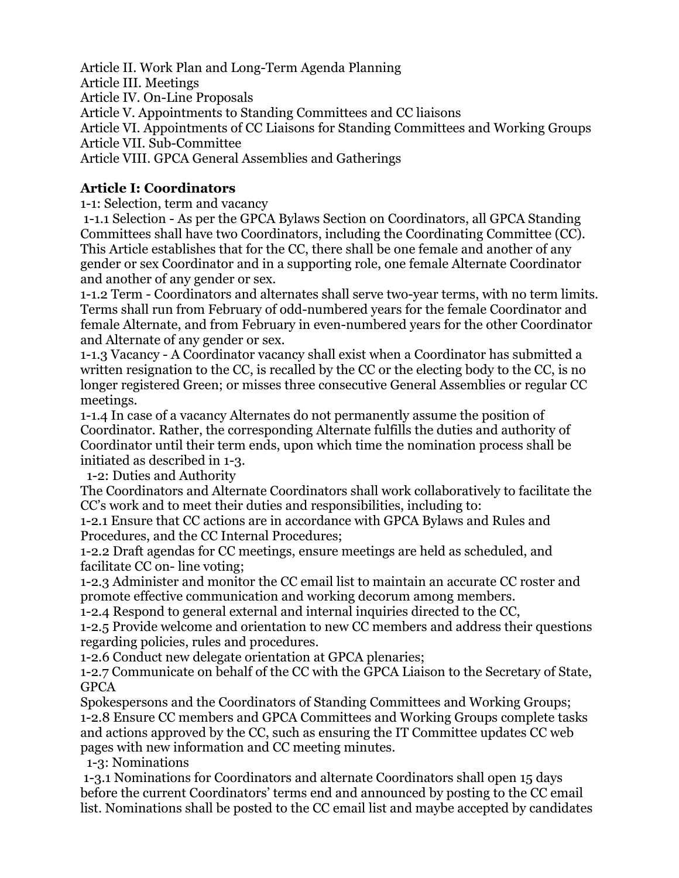Article II. Work Plan and Long-Term Agenda Planning Article III. Meetings Article IV. On-Line Proposals Article V. Appointments to Standing Committees and CC liaisons Article VI. Appointments of CC Liaisons for Standing Committees and Working Groups Article VII. Sub-Committee Article VIII. GPCA General Assemblies and Gatherings

#### **Article I: Coordinators**

1-1: Selection, term and vacancy

1-1.1 Selection - As per the GPCA Bylaws Section on Coordinators, all GPCA Standing Committees shall have two Coordinators, including the Coordinating Committee (CC). This Article establishes that for the CC, there shall be one female and another of any gender or sex Coordinator and in a supporting role, one female Alternate Coordinator and another of any gender or sex.

1-1.2 Term - Coordinators and alternates shall serve two-year terms, with no term limits. Terms shall run from February of odd-numbered years for the female Coordinator and female Alternate, and from February in even-numbered years for the other Coordinator and Alternate of any gender or sex.

1-1.3 Vacancy - A Coordinator vacancy shall exist when a Coordinator has submitted a written resignation to the CC, is recalled by the CC or the electing body to the CC, is no longer registered Green; or misses three consecutive General Assemblies or regular CC meetings.

1-1.4 In case of a vacancy Alternates do not permanently assume the position of Coordinator. Rather, the corresponding Alternate fulfills the duties and authority of Coordinator until their term ends, upon which time the nomination process shall be initiated as described in 1-3.

1-2: Duties and Authority

The Coordinators and Alternate Coordinators shall work collaboratively to facilitate the CC's work and to meet their duties and responsibilities, including to:

1-2.1 Ensure that CC actions are in accordance with GPCA Bylaws and Rules and Procedures, and the CC Internal Procedures;

1-2.2 Draft agendas for CC meetings, ensure meetings are held as scheduled, and facilitate CC on- line voting;

1-2.3 Administer and monitor the CC email list to maintain an accurate CC roster and promote effective communication and working decorum among members.

1-2.4 Respond to general external and internal inquiries directed to the CC,

1-2.5 Provide welcome and orientation to new CC members and address their questions regarding policies, rules and procedures.

1-2.6 Conduct new delegate orientation at GPCA plenaries;

1-2.7 Communicate on behalf of the CC with the GPCA Liaison to the Secretary of State, GPCA

Spokespersons and the Coordinators of Standing Committees and Working Groups; 1-2.8 Ensure CC members and GPCA Committees and Working Groups complete tasks and actions approved by the CC, such as ensuring the IT Committee updates CC web pages with new information and CC meeting minutes.

1-3: Nominations

1-3.1 Nominations for Coordinators and alternate Coordinators shall open 15 days before the current Coordinators' terms end and announced by posting to the CC email list. Nominations shall be posted to the CC email list and maybe accepted by candidates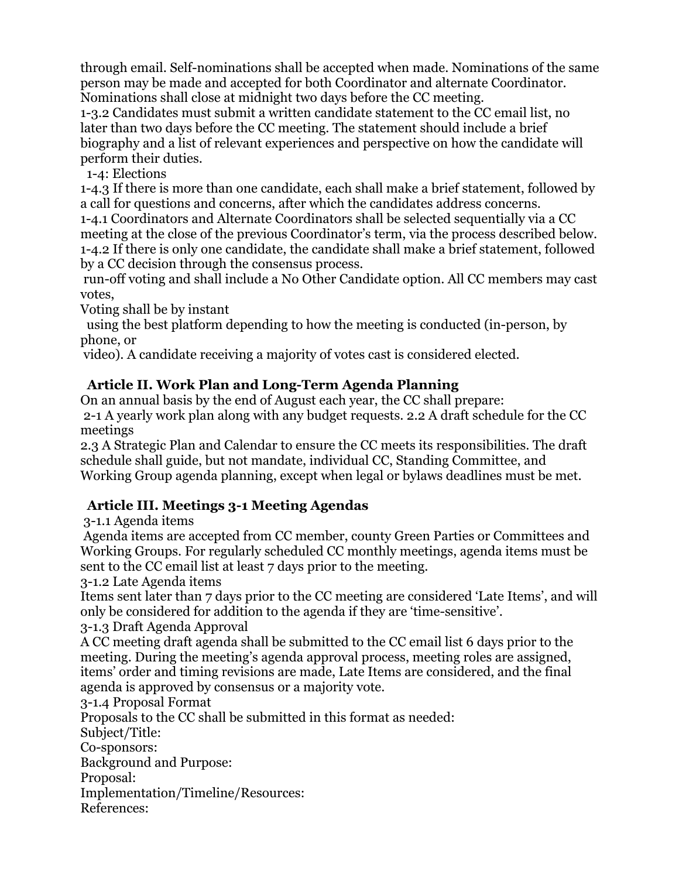through email. Self-nominations shall be accepted when made. Nominations of the same person may be made and accepted for both Coordinator and alternate Coordinator. Nominations shall close at midnight two days before the CC meeting.

1-3.2 Candidates must submit a written candidate statement to the CC email list, no later than two days before the CC meeting. The statement should include a brief biography and a list of relevant experiences and perspective on how the candidate will perform their duties.

1-4: Elections

1-4.3 If there is more than one candidate, each shall make a brief statement, followed by a call for questions and concerns, after which the candidates address concerns.

1-4.1 Coordinators and Alternate Coordinators shall be selected sequentially via a CC meeting at the close of the previous Coordinator's term, via the process described below. 1-4.2 If there is only one candidate, the candidate shall make a brief statement, followed by a CC decision through the consensus process.

run-off voting and shall include a No Other Candidate option. All CC members may cast votes,

Voting shall be by instant

 using the best platform depending to how the meeting is conducted (in-person, by phone, or

video). A candidate receiving a majority of votes cast is considered elected.

### **Article II. Work Plan and Long-Term Agenda Planning**

On an annual basis by the end of August each year, the CC shall prepare: 2-1 A yearly work plan along with any budget requests. 2.2 A draft schedule for the CC meetings

2.3 A Strategic Plan and Calendar to ensure the CC meets its responsibilities. The draft schedule shall guide, but not mandate, individual CC, Standing Committee, and Working Group agenda planning, except when legal or bylaws deadlines must be met.

## **Article III. Meetings 3-1 Meeting Agendas**

3-1.1 Agenda items

Agenda items are accepted from CC member, county Green Parties or Committees and Working Groups. For regularly scheduled CC monthly meetings, agenda items must be sent to the CC email list at least 7 days prior to the meeting.

3-1.2 Late Agenda items

Items sent later than 7 days prior to the CC meeting are considered 'Late Items', and will only be considered for addition to the agenda if they are 'time-sensitive'.

3-1.3 Draft Agenda Approval

A CC meeting draft agenda shall be submitted to the CC email list 6 days prior to the meeting. During the meeting's agenda approval process, meeting roles are assigned, items' order and timing revisions are made, Late Items are considered, and the final agenda is approved by consensus or a majority vote.

3-1.4 Proposal Format

Proposals to the CC shall be submitted in this format as needed: Subject/Title: Co-sponsors: Background and Purpose: Proposal: Implementation/Timeline/Resources: References: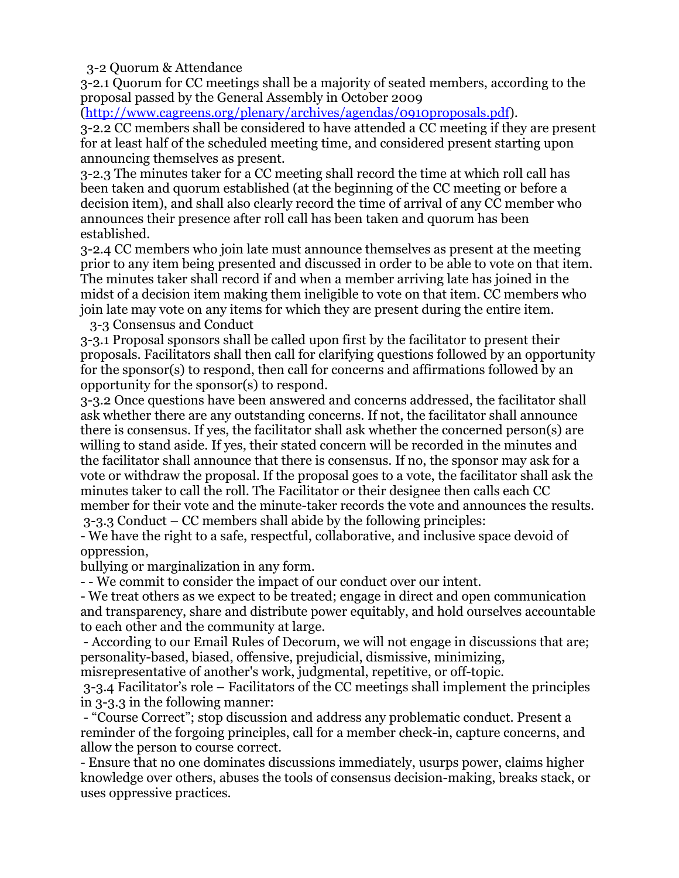3-2 Quorum & Attendance

3-2.1 Quorum for CC meetings shall be a majority of seated members, according to the proposal passed by the General Assembly in October 2009

(http://www.cagreens.org/plenary/archives/agendas/0910proposals.pdf).

3-2.2 CC members shall be considered to have attended a CC meeting if they are present for at least half of the scheduled meeting time, and considered present starting upon announcing themselves as present.

3-2.3 The minutes taker for a CC meeting shall record the time at which roll call has been taken and quorum established (at the beginning of the CC meeting or before a decision item), and shall also clearly record the time of arrival of any CC member who announces their presence after roll call has been taken and quorum has been established.

3-2.4 CC members who join late must announce themselves as present at the meeting prior to any item being presented and discussed in order to be able to vote on that item. The minutes taker shall record if and when a member arriving late has joined in the midst of a decision item making them ineligible to vote on that item. CC members who join late may vote on any items for which they are present during the entire item. 3-3 Consensus and Conduct

3-3.1 Proposal sponsors shall be called upon first by the facilitator to present their proposals. Facilitators shall then call for clarifying questions followed by an opportunity for the sponsor(s) to respond, then call for concerns and affirmations followed by an opportunity for the sponsor(s) to respond.

3-3.2 Once questions have been answered and concerns addressed, the facilitator shall ask whether there are any outstanding concerns. If not, the facilitator shall announce there is consensus. If yes, the facilitator shall ask whether the concerned person(s) are willing to stand aside. If yes, their stated concern will be recorded in the minutes and the facilitator shall announce that there is consensus. If no, the sponsor may ask for a vote or withdraw the proposal. If the proposal goes to a vote, the facilitator shall ask the minutes taker to call the roll. The Facilitator or their designee then calls each CC member for their vote and the minute-taker records the vote and announces the results. 3-3.3 Conduct – CC members shall abide by the following principles:

- We have the right to a safe, respectful, collaborative, and inclusive space devoid of oppression,

bullying or marginalization in any form.

- - We commit to consider the impact of our conduct over our intent.

- We treat others as we expect to be treated; engage in direct and open communication and transparency, share and distribute power equitably, and hold ourselves accountable to each other and the community at large.

- According to our Email Rules of Decorum, we will not engage in discussions that are; personality-based, biased, offensive, prejudicial, dismissive, minimizing,

misrepresentative of another's work, judgmental, repetitive, or off-topic.

3-3.4 Facilitator's role – Facilitators of the CC meetings shall implement the principles in 3-3.3 in the following manner:

- "Course Correct"; stop discussion and address any problematic conduct. Present a reminder of the forgoing principles, call for a member check-in, capture concerns, and allow the person to course correct.

- Ensure that no one dominates discussions immediately, usurps power, claims higher knowledge over others, abuses the tools of consensus decision-making, breaks stack, or uses oppressive practices.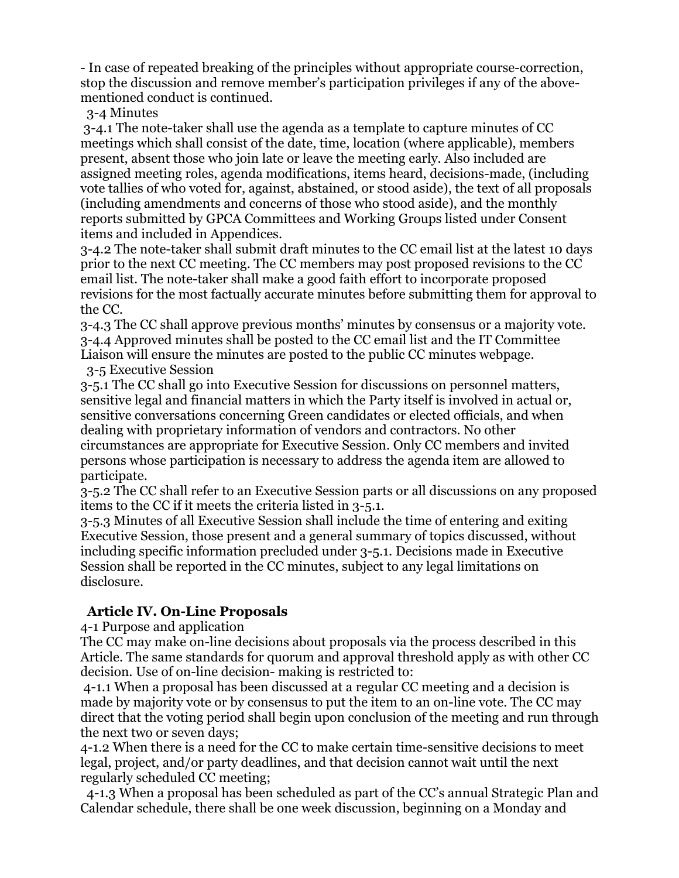- In case of repeated breaking of the principles without appropriate course-correction, stop the discussion and remove member's participation privileges if any of the abovementioned conduct is continued.

3-4 Minutes

3-4.1 The note-taker shall use the agenda as a template to capture minutes of CC meetings which shall consist of the date, time, location (where applicable), members present, absent those who join late or leave the meeting early. Also included are assigned meeting roles, agenda modifications, items heard, decisions-made, (including vote tallies of who voted for, against, abstained, or stood aside), the text of all proposals (including amendments and concerns of those who stood aside), and the monthly reports submitted by GPCA Committees and Working Groups listed under Consent items and included in Appendices.

3-4.2 The note-taker shall submit draft minutes to the CC email list at the latest 10 days prior to the next CC meeting. The CC members may post proposed revisions to the CC email list. The note-taker shall make a good faith effort to incorporate proposed revisions for the most factually accurate minutes before submitting them for approval to the CC.

3-4.3 The CC shall approve previous months' minutes by consensus or a majority vote. 3-4.4 Approved minutes shall be posted to the CC email list and the IT Committee Liaison will ensure the minutes are posted to the public CC minutes webpage.

3-5 Executive Session

3-5.1 The CC shall go into Executive Session for discussions on personnel matters, sensitive legal and financial matters in which the Party itself is involved in actual or, sensitive conversations concerning Green candidates or elected officials, and when dealing with proprietary information of vendors and contractors. No other circumstances are appropriate for Executive Session. Only CC members and invited persons whose participation is necessary to address the agenda item are allowed to participate.

3-5.2 The CC shall refer to an Executive Session parts or all discussions on any proposed items to the CC if it meets the criteria listed in 3-5.1.

3-5.3 Minutes of all Executive Session shall include the time of entering and exiting Executive Session, those present and a general summary of topics discussed, without including specific information precluded under 3-5.1. Decisions made in Executive Session shall be reported in the CC minutes, subject to any legal limitations on disclosure.

### **Article IV. On-Line Proposals**

4-1 Purpose and application

The CC may make on-line decisions about proposals via the process described in this Article. The same standards for quorum and approval threshold apply as with other CC decision. Use of on-line decision- making is restricted to:

4-1.1 When a proposal has been discussed at a regular CC meeting and a decision is made by majority vote or by consensus to put the item to an on-line vote. The CC may direct that the voting period shall begin upon conclusion of the meeting and run through the next two or seven days;

4-1.2 When there is a need for the CC to make certain time-sensitive decisions to meet legal, project, and/or party deadlines, and that decision cannot wait until the next regularly scheduled CC meeting;

 4-1.3 When a proposal has been scheduled as part of the CC's annual Strategic Plan and Calendar schedule, there shall be one week discussion, beginning on a Monday and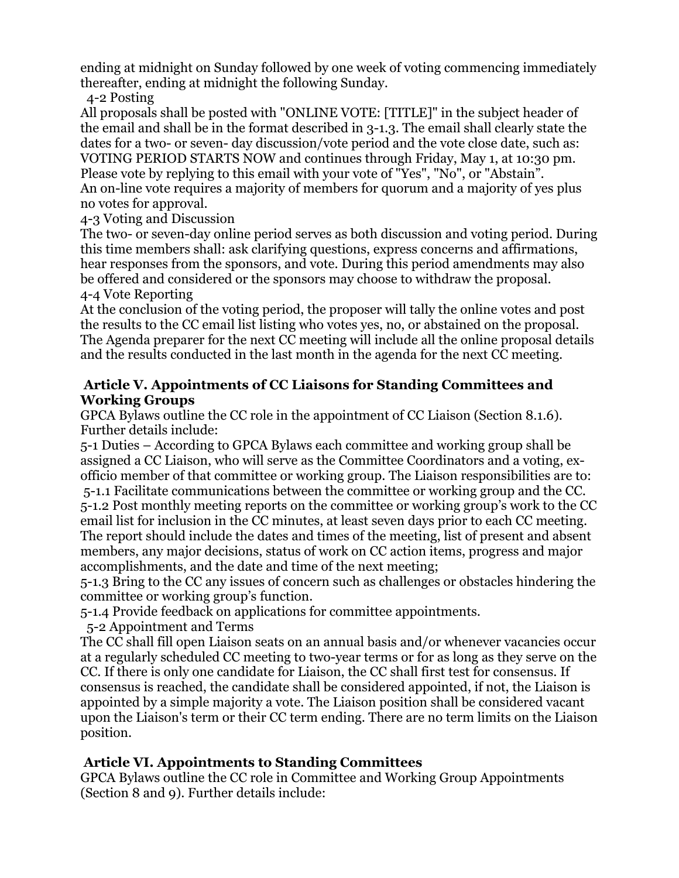ending at midnight on Sunday followed by one week of voting commencing immediately thereafter, ending at midnight the following Sunday.

4-2 Posting

All proposals shall be posted with "ONLINE VOTE: [TITLE]" in the subject header of the email and shall be in the format described in 3-1.3. The email shall clearly state the dates for a two- or seven- day discussion/vote period and the vote close date, such as: VOTING PERIOD STARTS NOW and continues through Friday, May 1, at 10:30 pm. Please vote by replying to this email with your vote of "Yes", "No", or "Abstain". An on-line vote requires a majority of members for quorum and a majority of yes plus no votes for approval.

4-3 Voting and Discussion

The two- or seven-day online period serves as both discussion and voting period. During this time members shall: ask clarifying questions, express concerns and affirmations, hear responses from the sponsors, and vote. During this period amendments may also be offered and considered or the sponsors may choose to withdraw the proposal. 4-4 Vote Reporting

At the conclusion of the voting period, the proposer will tally the online votes and post the results to the CC email list listing who votes yes, no, or abstained on the proposal. The Agenda preparer for the next CC meeting will include all the online proposal details and the results conducted in the last month in the agenda for the next CC meeting.

#### **Article V. Appointments of CC Liaisons for Standing Committees and Working Groups**

GPCA Bylaws outline the CC role in the appointment of CC Liaison (Section 8.1.6). Further details include:

5-1 Duties – According to GPCA Bylaws each committee and working group shall be assigned a CC Liaison, who will serve as the Committee Coordinators and a voting, exofficio member of that committee or working group. The Liaison responsibilities are to: 5-1.1 Facilitate communications between the committee or working group and the CC. 5-1.2 Post monthly meeting reports on the committee or working group's work to the CC email list for inclusion in the CC minutes, at least seven days prior to each CC meeting. The report should include the dates and times of the meeting, list of present and absent members, any major decisions, status of work on CC action items, progress and major accomplishments, and the date and time of the next meeting;

5-1.3 Bring to the CC any issues of concern such as challenges or obstacles hindering the committee or working group's function.

5-1.4 Provide feedback on applications for committee appointments.

5-2 Appointment and Terms

The CC shall fill open Liaison seats on an annual basis and/or whenever vacancies occur at a regularly scheduled CC meeting to two-year terms or for as long as they serve on the CC. If there is only one candidate for Liaison, the CC shall first test for consensus. If consensus is reached, the candidate shall be considered appointed, if not, the Liaison is appointed by a simple majority a vote. The Liaison position shall be considered vacant upon the Liaison's term or their CC term ending. There are no term limits on the Liaison position.

### **Article VI. Appointments to Standing Committees**

GPCA Bylaws outline the CC role in Committee and Working Group Appointments (Section 8 and 9). Further details include: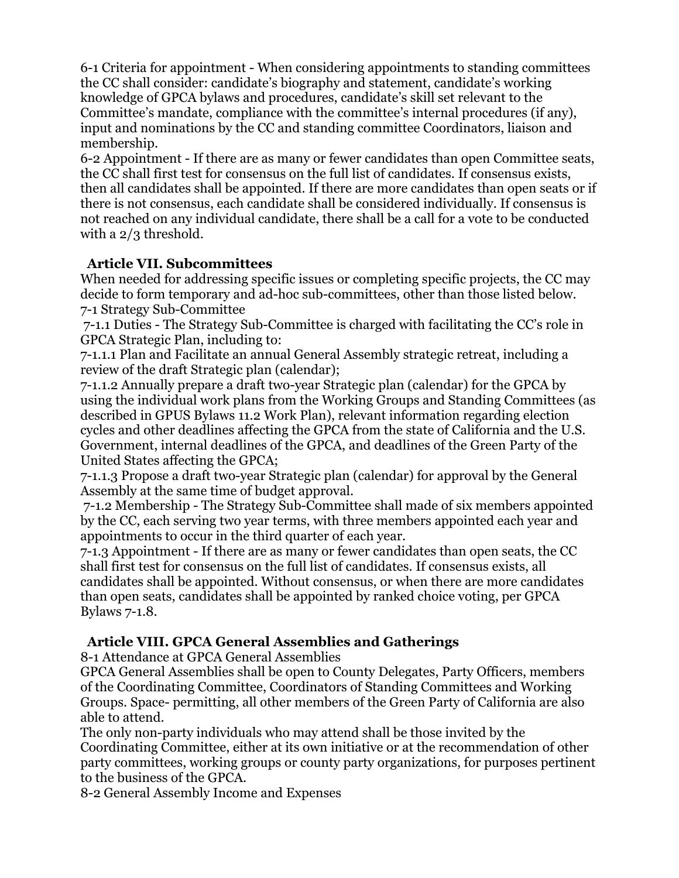6-1 Criteria for appointment - When considering appointments to standing committees the CC shall consider: candidate's biography and statement, candidate's working knowledge of GPCA bylaws and procedures, candidate's skill set relevant to the Committee's mandate, compliance with the committee's internal procedures (if any), input and nominations by the CC and standing committee Coordinators, liaison and membership.

6-2 Appointment - If there are as many or fewer candidates than open Committee seats, the CC shall first test for consensus on the full list of candidates. If consensus exists, then all candidates shall be appointed. If there are more candidates than open seats or if there is not consensus, each candidate shall be considered individually. If consensus is not reached on any individual candidate, there shall be a call for a vote to be conducted with a  $2/3$  threshold.

#### **Article VII. Subcommittees**

When needed for addressing specific issues or completing specific projects, the CC may decide to form temporary and ad-hoc sub-committees, other than those listed below. 7-1 Strategy Sub-Committee

7-1.1 Duties - The Strategy Sub-Committee is charged with facilitating the CC's role in GPCA Strategic Plan, including to:

7-1.1.1 Plan and Facilitate an annual General Assembly strategic retreat, including a review of the draft Strategic plan (calendar);

7-1.1.2 Annually prepare a draft two-year Strategic plan (calendar) for the GPCA by using the individual work plans from the Working Groups and Standing Committees (as described in GPUS Bylaws 11.2 Work Plan), relevant information regarding election cycles and other deadlines affecting the GPCA from the state of California and the U.S. Government, internal deadlines of the GPCA, and deadlines of the Green Party of the United States affecting the GPCA;

7-1.1.3 Propose a draft two-year Strategic plan (calendar) for approval by the General Assembly at the same time of budget approval.

7-1.2 Membership - The Strategy Sub-Committee shall made of six members appointed by the CC, each serving two year terms, with three members appointed each year and appointments to occur in the third quarter of each year.

7-1.3 Appointment - If there are as many or fewer candidates than open seats, the CC shall first test for consensus on the full list of candidates. If consensus exists, all candidates shall be appointed. Without consensus, or when there are more candidates than open seats, candidates shall be appointed by ranked choice voting, per GPCA Bylaws 7-1.8.

### **Article VIII. GPCA General Assemblies and Gatherings**

8-1 Attendance at GPCA General Assemblies

GPCA General Assemblies shall be open to County Delegates, Party Officers, members of the Coordinating Committee, Coordinators of Standing Committees and Working Groups. Space- permitting, all other members of the Green Party of California are also able to attend.

The only non-party individuals who may attend shall be those invited by the Coordinating Committee, either at its own initiative or at the recommendation of other party committees, working groups or county party organizations, for purposes pertinent to the business of the GPCA.

8-2 General Assembly Income and Expenses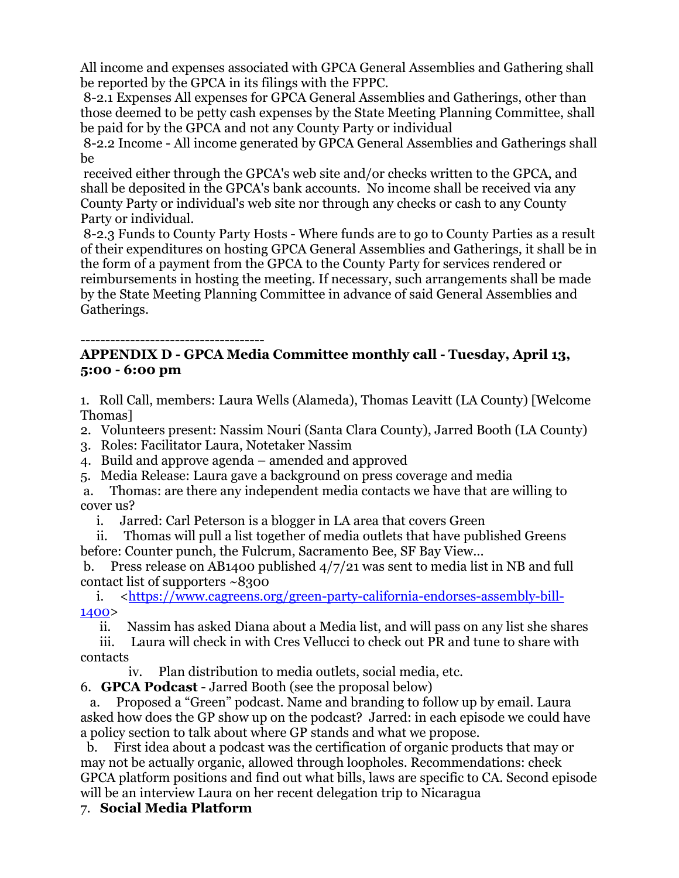All income and expenses associated with GPCA General Assemblies and Gathering shall be reported by the GPCA in its filings with the FPPC.

8-2.1 Expenses All expenses for GPCA General Assemblies and Gatherings, other than those deemed to be petty cash expenses by the State Meeting Planning Committee, shall be paid for by the GPCA and not any County Party or individual

8-2.2 Income - All income generated by GPCA General Assemblies and Gatherings shall be

received either through the GPCA's web site and/or checks written to the GPCA, and shall be deposited in the GPCA's bank accounts. No income shall be received via any County Party or individual's web site nor through any checks or cash to any County Party or individual.

8-2.3 Funds to County Party Hosts - Where funds are to go to County Parties as a result of their expenditures on hosting GPCA General Assemblies and Gatherings, it shall be in the form of a payment from the GPCA to the County Party for services rendered or reimbursements in hosting the meeting. If necessary, such arrangements shall be made by the State Meeting Planning Committee in advance of said General Assemblies and Gatherings.

#### -------------------------------------

#### **APPENDIX D - GPCA Media Committee monthly call - Tuesday, April 13, 5:00 - 6:00 pm**

1. Roll Call, members: Laura Wells (Alameda), Thomas Leavitt (LA County) [Welcome Thomas]

2. Volunteers present: Nassim Nouri (Santa Clara County), Jarred Booth (LA County)

3. Roles: Facilitator Laura, Notetaker Nassim

4. Build and approve agenda – amended and approved

5. Media Release: Laura gave a background on press coverage and media

a. Thomas: are there any independent media contacts we have that are willing to cover us?

i. Jarred: Carl Peterson is a blogger in LA area that covers Green

 ii. Thomas will pull a list together of media outlets that have published Greens before: Counter punch, the Fulcrum, Sacramento Bee, SF Bay View...

b. Press release on AB1400 published 4/7/21 was sent to media list in NB and full contact list of supporters ~8300

i. <https://www.cagreens.org/green-party-california-endorses-assembly-bill-1400>

ii. Nassim has asked Diana about a Media list, and will pass on any list she shares

 iii. Laura will check in with Cres Vellucci to check out PR and tune to share with contacts

iv. Plan distribution to media outlets, social media, etc.

6. **GPCA Podcast** - Jarred Booth (see the proposal below)

a. Proposed a "Green" podcast. Name and branding to follow up by email. Laura asked how does the GP show up on the podcast? Jarred: in each episode we could have a policy section to talk about where GP stands and what we propose.

b. First idea about a podcast was the certification of organic products that may or may not be actually organic, allowed through loopholes. Recommendations: check GPCA platform positions and find out what bills, laws are specific to CA. Second episode will be an interview Laura on her recent delegation trip to Nicaragua

#### 7. **Social Media Platform**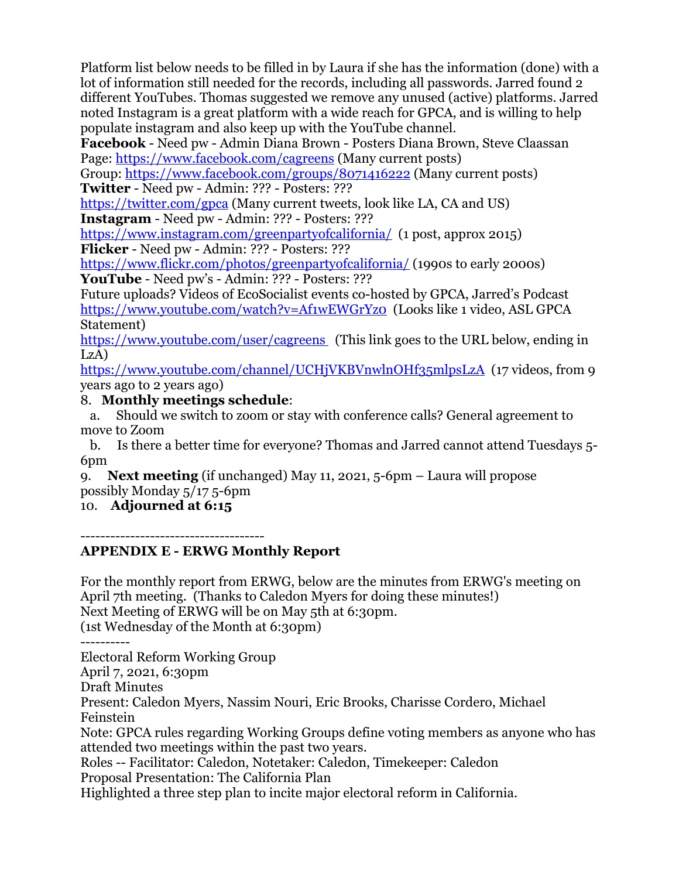Platform list below needs to be filled in by Laura if she has the information (done) with a lot of information still needed for the records, including all passwords. Jarred found 2 different YouTubes. Thomas suggested we remove any unused (active) platforms. Jarred noted Instagram is a great platform with a wide reach for GPCA, and is willing to help populate instagram and also keep up with the YouTube channel.

**Facebook** - Need pw - Admin Diana Brown - Posters Diana Brown, Steve Claassan Page: https://www.facebook.com/cagreens (Many current posts)

Group: https://www.facebook.com/groups/8071416222 (Many current posts) **Twitter** - Need pw - Admin: ??? - Posters: ???

https://twitter.com/gpca (Many current tweets, look like LA, CA and US) **Instagram** - Need pw - Admin: ??? - Posters: ???

https://www.instagram.com/greenpartyofcalifornia/ (1 post, approx 2015) **Flicker** - Need pw - Admin: ??? - Posters: ???

https://www.flickr.com/photos/greenpartyofcalifornia/ (1990s to early 2000s) **YouTube** - Need pw's - Admin: ??? - Posters: ???

Future uploads? Videos of EcoSocialist events co-hosted by GPCA, Jarred's Podcast https://www.youtube.com/watch?v=Af1wEWGrYz0 (Looks like 1 video, ASL GPCA Statement)

https://www.youtube.com/user/cagreens (This link goes to the URL below, ending in LzA)

https://www.youtube.com/channel/UCHjVKBVnwlnOHf35mlpsLzA (17 videos, from 9 years ago to 2 years ago)

8. **Monthly meetings schedule**:

a. Should we switch to zoom or stay with conference calls? General agreement to move to Zoom

b. Is there a better time for everyone? Thomas and Jarred cannot attend Tuesdays 5- 6pm

9. **Next meeting** (if unchanged) May 11, 2021, 5-6pm – Laura will propose possibly Monday 5/17 5-6pm

10. **Adjourned at 6:15**

-------------------------------------

### **APPENDIX E - ERWG Monthly Report**

For the monthly report from ERWG, below are the minutes from ERWG's meeting on April 7th meeting. (Thanks to Caledon Myers for doing these minutes!) Next Meeting of ERWG will be on May 5th at 6:30pm. (1st Wednesday of the Month at 6:30pm) ---------- Electoral Reform Working Group April 7, 2021, 6:30pm Draft Minutes Present: Caledon Myers, Nassim Nouri, Eric Brooks, Charisse Cordero, Michael Feinstein Note: GPCA rules regarding Working Groups define voting members as anyone who has attended two meetings within the past two years. Roles -- Facilitator: Caledon, Notetaker: Caledon, Timekeeper: Caledon Proposal Presentation: The California Plan

Highlighted a three step plan to incite major electoral reform in California.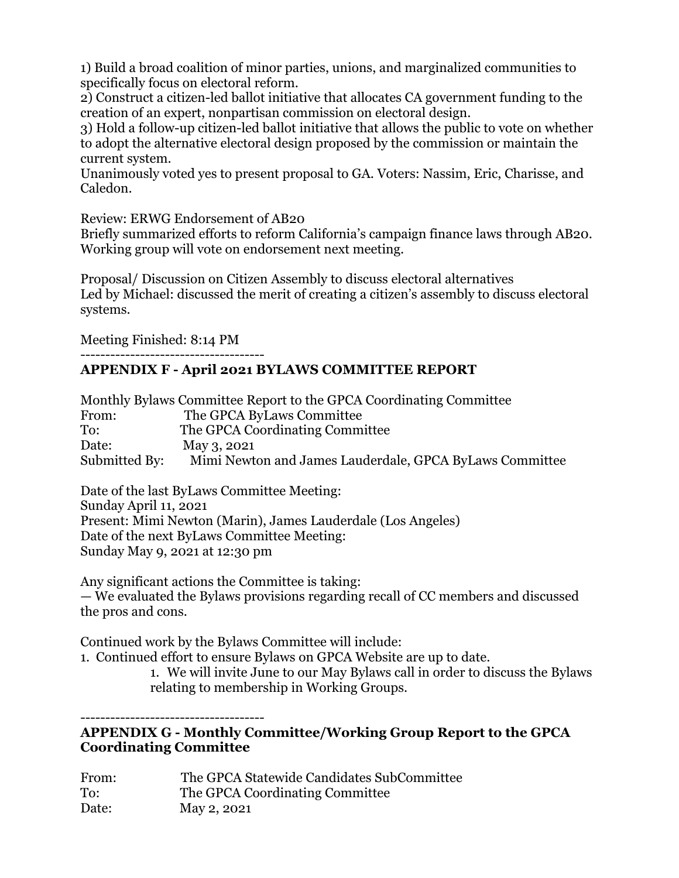1) Build a broad coalition of minor parties, unions, and marginalized communities to specifically focus on electoral reform.

2) Construct a citizen-led ballot initiative that allocates CA government funding to the creation of an expert, nonpartisan commission on electoral design.

3) Hold a follow-up citizen-led ballot initiative that allows the public to vote on whether to adopt the alternative electoral design proposed by the commission or maintain the current system.

Unanimously voted yes to present proposal to GA. Voters: Nassim, Eric, Charisse, and Caledon.

Review: ERWG Endorsement of AB20

Briefly summarized efforts to reform California's campaign finance laws through AB20. Working group will vote on endorsement next meeting.

Proposal/ Discussion on Citizen Assembly to discuss electoral alternatives Led by Michael: discussed the merit of creating a citizen's assembly to discuss electoral systems.

Meeting Finished: 8:14 PM

#### ------------------------------------- **APPENDIX F - April 2021 BYLAWS COMMITTEE REPORT**

| Monthly Bylaws Committee Report to the GPCA Coordinating Committee |                                                         |  |
|--------------------------------------------------------------------|---------------------------------------------------------|--|
| From:                                                              | The GPCA ByLaws Committee                               |  |
| To:                                                                | The GPCA Coordinating Committee                         |  |
| Date:                                                              | May 3, 2021                                             |  |
| Submitted By:                                                      | Mimi Newton and James Lauderdale, GPCA ByLaws Committee |  |

Date of the last ByLaws Committee Meeting: Sunday April 11, 2021 Present: Mimi Newton (Marin), James Lauderdale (Los Angeles) Date of the next ByLaws Committee Meeting: Sunday May 9, 2021 at 12:30 pm

Any significant actions the Committee is taking: — We evaluated the Bylaws provisions regarding recall of CC members and discussed the pros and cons.

Continued work by the Bylaws Committee will include:

1. Continued effort to ensure Bylaws on GPCA Website are up to date.

1. We will invite June to our May Bylaws call in order to discuss the Bylaws relating to membership in Working Groups.

-------------------------------------

#### **APPENDIX G - Monthly Committee/Working Group Report to the GPCA Coordinating Committee**

| From: | The GPCA Statewide Candidates SubCommittee |
|-------|--------------------------------------------|
| To:   | The GPCA Coordinating Committee            |
| Date: | May 2, 2021                                |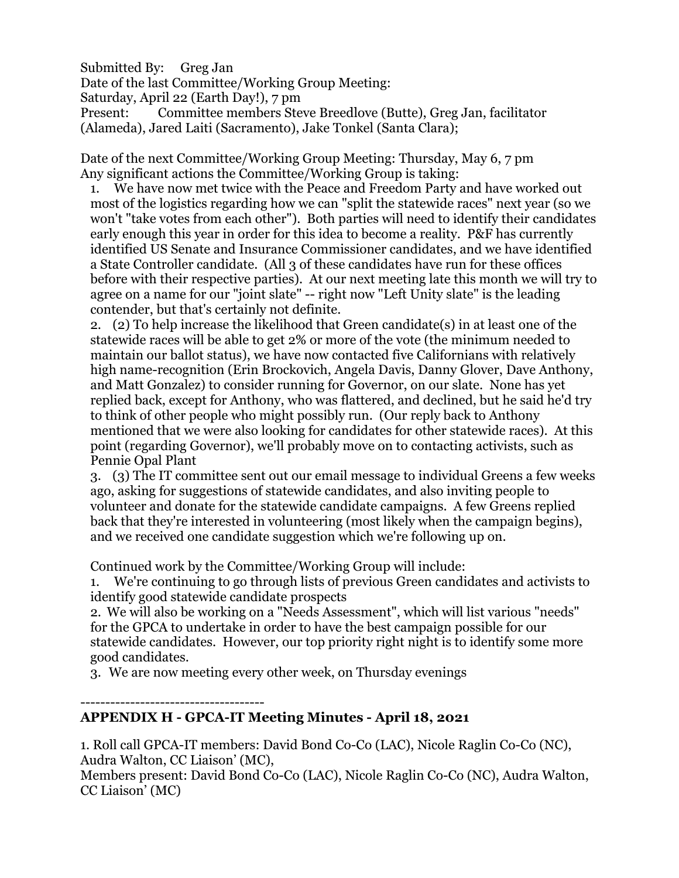Submitted By: Greg Jan

Date of the last Committee/Working Group Meeting:

Saturday, April 22 (Earth Day!), 7 pm

Present: Committee members Steve Breedlove (Butte), Greg Jan, facilitator (Alameda), Jared Laiti (Sacramento), Jake Tonkel (Santa Clara);

Date of the next Committee/Working Group Meeting: Thursday, May 6, 7 pm Any significant actions the Committee/Working Group is taking:

1. We have now met twice with the Peace and Freedom Party and have worked out most of the logistics regarding how we can "split the statewide races" next year (so we won't "take votes from each other"). Both parties will need to identify their candidates early enough this year in order for this idea to become a reality. P&F has currently identified US Senate and Insurance Commissioner candidates, and we have identified a State Controller candidate. (All 3 of these candidates have run for these offices before with their respective parties). At our next meeting late this month we will try to agree on a name for our "joint slate" -- right now "Left Unity slate" is the leading contender, but that's certainly not definite.

2. (2) To help increase the likelihood that Green candidate(s) in at least one of the statewide races will be able to get 2% or more of the vote (the minimum needed to maintain our ballot status), we have now contacted five Californians with relatively high name-recognition (Erin Brockovich, Angela Davis, Danny Glover, Dave Anthony, and Matt Gonzalez) to consider running for Governor, on our slate. None has yet replied back, except for Anthony, who was flattered, and declined, but he said he'd try to think of other people who might possibly run. (Our reply back to Anthony mentioned that we were also looking for candidates for other statewide races). At this point (regarding Governor), we'll probably move on to contacting activists, such as Pennie Opal Plant

3. (3) The IT committee sent out our email message to individual Greens a few weeks ago, asking for suggestions of statewide candidates, and also inviting people to volunteer and donate for the statewide candidate campaigns. A few Greens replied back that they're interested in volunteering (most likely when the campaign begins), and we received one candidate suggestion which we're following up on.

Continued work by the Committee/Working Group will include:

1. We're continuing to go through lists of previous Green candidates and activists to identify good statewide candidate prospects

2. We will also be working on a "Needs Assessment", which will list various "needs" for the GPCA to undertake in order to have the best campaign possible for our statewide candidates. However, our top priority right night is to identify some more good candidates.

3. We are now meeting every other week, on Thursday evenings

-------------------------------------

### **APPENDIX H - GPCA-IT Meeting Minutes - April 18, 2021**

1. Roll call GPCA-IT members: David Bond Co-Co (LAC), Nicole Raglin Co-Co (NC), Audra Walton, CC Liaison' (MC),

Members present: David Bond Co-Co (LAC), Nicole Raglin Co-Co (NC), Audra Walton, CC Liaison' (MC)